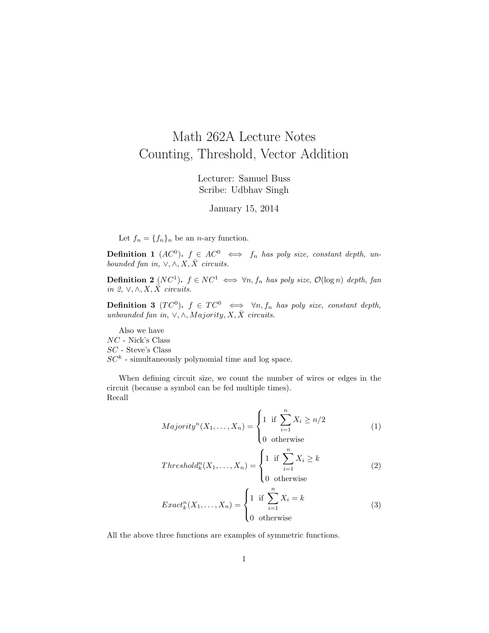## Math 262A Lecture Notes Counting, Threshold, Vector Addition

Lecturer: Samuel Buss Scribe: Udbhav Singh

January 15, 2014

Let  $f_n = \{f_n\}_n$  be an *n*-ary function.

**Definition 1** (AC<sup>0</sup>).  $f \in AC^0 \iff f_n$  has poly size, constant depth, unbounded fan in,  $\vee, \wedge, X, \overline{X}$  circuits.

**Definition 2** (NC<sup>1</sup>).  $f \in NC^1 \iff \forall n, f_n$  has poly size,  $\mathcal{O}(\log n)$  depth, fan in 2,  $\vee, \wedge, X, \overline{X}$  circuits.

**Definition 3** (TC<sup>0</sup>).  $f \in TC^0$   $\iff \forall n, f_n$  has poly size, constant depth, unbounded fan in,  $\sqrt{N}$ , Majority, X,  $\overline{X}$  circuits.

Also we have NC - Nick's Class SC - Steve's Class  $SC<sup>k</sup>$  - simultaneously polynomial time and log space.

When defining circuit size, we count the number of wires or edges in the circuit (because a symbol can be fed multiple times). Recall

$$
Majority^{n}(X_{1},...,X_{n}) = \begin{cases} 1 & \text{if } \sum_{i=1}^{n} X_{i} \geq n/2 \\ 0 & \text{otherwise} \end{cases}
$$
 (1)

$$
Thresholdnk(X1,...,Xn) = \begin{cases} 1 & \text{if } \sum_{i=1}^{n} X_i \ge k \\ 0 & \text{otherwise} \end{cases}
$$
 (2)

$$
Exact_{k}^{n}(X_{1},...,X_{n}) = \begin{cases} 1 & \text{if } \sum_{i=1}^{n} X_{i} = k \\ 0 & \text{otherwise} \end{cases}
$$
 (3)

All the above three functions are examples of symmetric functions.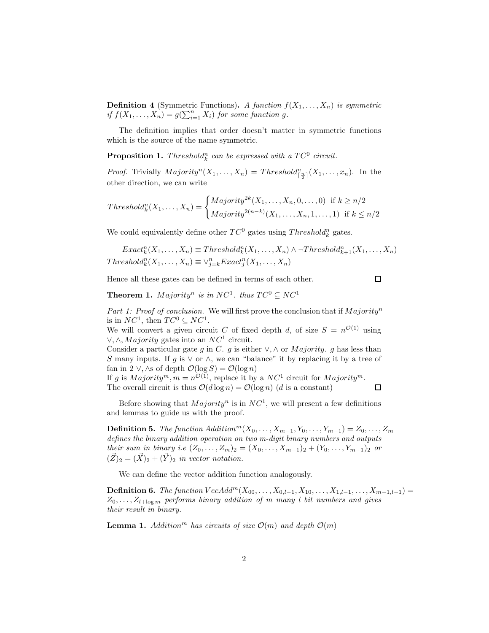**Definition 4** (Symmetric Functions). A function  $f(X_1, \ldots, X_n)$  is symmetric if  $f(X_1, ..., X_n) = g(\sum_{i=1}^n X_i)$  for some function g.

The definition implies that order doesn't matter in symmetric functions which is the source of the name symmetric.

**Proposition 1.** Threshold<sup>n</sup><sub>k</sub> can be expressed with a  $TC^0$  circuit.

*Proof.* Trivially  $Majority^n(X_1, ..., X_n) = Threshold_{\lceil \frac{n}{2} \rceil}^n(X_1, ..., x_n)$ . In the other direction, we can write

$$
Thresholdnk(X1,...,Xn) = \begin{cases} Majority2k(X1,...,Xn,0,...,0) & \text{if } k \geq n/2\\ Majority2(n-k)(X1,...,Xn,1,...,1) & \text{if } k \leq n/2 \end{cases}
$$

We could equivalently define other  $TC^0$  gates using  $Threshold_k^n$  gates.

 $Exact_k^n(X_1, \ldots, X_n) \equiv Threshold_k^n(X_1, \ldots, X_n) \wedge \neg Threshold_{k+1}^n(X_1, \ldots, X_n)$  $Threshold_k^n(X_1, ..., X_n) \equiv \vee_{j=k}^n Exact_j^n(X_1, ..., X_n)$ 

Hence all these gates can be defined in terms of each other.

 $\Box$ 

 $\Box$ 

**Theorem 1.** Majority<sup>n</sup> is in NC<sup>1</sup>. thus  $TC^0 \subseteq NC^1$ 

Part 1: Proof of conclusion. We will first prove the conclusion that if  $Majority<sup>n</sup>$ is in  $NC^1$ , then  $TC^0 \subseteq NC^1$ .

We will convert a given circuit C of fixed depth d, of size  $S = n^{\mathcal{O}(1)}$  using  $\vee, \wedge, \text{Majority}$  gates into an  $NC^1$  circuit.

Consider a particular gate g in C. g is either  $\vee, \wedge$  or *Majority*. g has less than S many inputs. If g is  $\vee$  or  $\wedge$ , we can "balance" it by replacing it by a tree of fan in 2 ∨, ∧s of depth  $\mathcal{O}(\log S) = \mathcal{O}(\log n)$ 

If g is  $Majority^m, m = n^{\mathcal{O}(1)}$ , replace it by a  $NC^1$  circuit for  $Majority^m$ . The overall circuit is thus  $\mathcal{O}(d \log n) = \mathcal{O}(\log n)$  (d is a constant)

Before showing that  $Majority^n$  is in  $NC^1$ , we will present a few definitions and lemmas to guide us with the proof.

**Definition 5.** The function Addition<sup>m</sup>( $X_0, \ldots, X_{m-1}, Y_0, \ldots, Y_{m-1}$ ) =  $Z_0, \ldots, Z_m$ defines the binary addition operation on two m-digit binary numbers and outputs their sum in binary i.e  $(Z_0, ..., Z_m) = (X_0, ..., X_{m-1})_2 + (Y_0, ..., Y_{m-1})_2$  or  $(\vec{Z})_2 = (\vec{X})_2 + (\vec{Y})_2$  in vector notation.

We can define the vector addition function analogously.

**Definition 6.** The function  $VecAdd^{m}(X_{00},...,X_{0,l-1},X_{10},...,X_{1,l-1},...,X_{m-1,l-1}) =$  $Z_0, \ldots, Z_{l+\log m}$  performs binary addition of m many l bit numbers and gives their result in binary.

**Lemma 1.** Addition<sup>m</sup> has circuits of size  $\mathcal{O}(m)$  and depth  $\mathcal{O}(m)$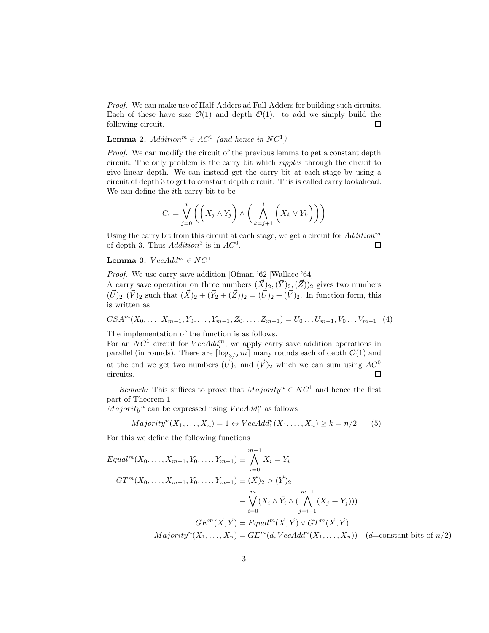Proof. We can make use of Half-Adders ad Full-Adders for building such circuits. Each of these have size  $\mathcal{O}(1)$  and depth  $\mathcal{O}(1)$ . to add we simply build the following circuit.  $\Box$ 

## **Lemma 2.** Addition<sup>m</sup>  $\in AC^0$  (and hence in  $NC^1$ )

Proof. We can modify the circuit of the previous lemma to get a constant depth circuit. The only problem is the carry bit which ripples through the circuit to give linear depth. We can instead get the carry bit at each stage by using a circuit of depth 3 to get to constant depth circuit. This is called carry lookahead. We can define the ith carry bit to be

$$
C_i = \bigvee_{j=0}^i \left( \left( X_j \wedge Y_j \right) \wedge \left( \bigwedge_{k=j+1}^i \left( X_k \vee Y_k \right) \right) \right)
$$

Using the carry bit from this circuit at each stage, we get a circuit for  $Addition^m$ of depth 3. Thus  $Addition^3$  is in  $AC^0$ .  $\Box$ 

## Lemma 3.  $VecAdd^m \in NC^1$

Proof. We use carry save addition [Ofman '62][Wallace '64]

A carry save operation on three numbers  $(\vec{X})_2,(\vec{Y})_2,(\vec{Z})_2$  gives two numbers  $(\vec{U})_2, (\vec{V})_2$  such that  $(\vec{X})_2 + (\vec{Y}_2 + (\vec{Z}))_2 = (\vec{U})_2 + (\vec{V})_2$ . In function form, this is written as

$$
CSA^{m}(X_{0},\ldots,X_{m-1},Y_{0},\ldots,Y_{m-1},Z_{0},\ldots,Z_{m-1})=U_{0}\ldots U_{m-1},V_{0}\ldots V_{m-1}
$$
 (4)

The implementation of the function is as follows.

For an  $NC^1$  circuit for  $VecAdd_l^m$ , we apply carry save addition operations in parallel (in rounds). There are  $\lceil \log_{3/2} m \rceil$  many rounds each of depth  $\mathcal{O}(1)$  and at the end we get two numbers  $(\vec{U})_2$  and  $(\vec{V})_2$  which we can sum using  $AC^0$ circuits.  $\Box$ 

Remark: This suffices to prove that  $Majority^n \in NC^1$  and hence the first part of Theorem 1

 $Majority<sup>n</sup>$  can be expressed using  $VecAdd<sup>n</sup><sub>1</sub>$  as follows

$$
Majority^{n}(X_{1},...,X_{n}) = 1 \leftrightarrow VecAdd_{1}^{n}(X_{1},...,X_{n}) \geq k = n/2
$$
 (5)

For this we define the following functions

$$
Equal^{m}(X_{0},...,X_{m-1},Y_{0},...,Y_{m-1}) \equiv \bigwedge_{i=0}^{m-1} X_{i} = Y_{i}
$$
  
\n
$$
GT^{m}(X_{0},...,X_{m-1},Y_{0},...,Y_{m-1}) \equiv (\vec{X})_{2} > (\vec{Y})_{2}
$$
  
\n
$$
\equiv \bigvee_{i=0}^{m} (X_{i} \wedge \bar{Y}_{i} \wedge (\bigwedge_{j=i+1}^{m-1} (X_{j} \equiv Y_{j})))
$$
  
\n
$$
GE^{m}(\vec{X},\vec{Y}) = Equal^{m}(\vec{X},\vec{Y}) \vee GT^{m}(\vec{X},\vec{Y})
$$
  
\n
$$
Majority^{n}(X_{1},...,X_{n}) = GE^{m}(\vec{a},VecAdd^{n}(X_{1},...,X_{n})) \quad (\vec{a}=\text{constant bits of } n/2)
$$